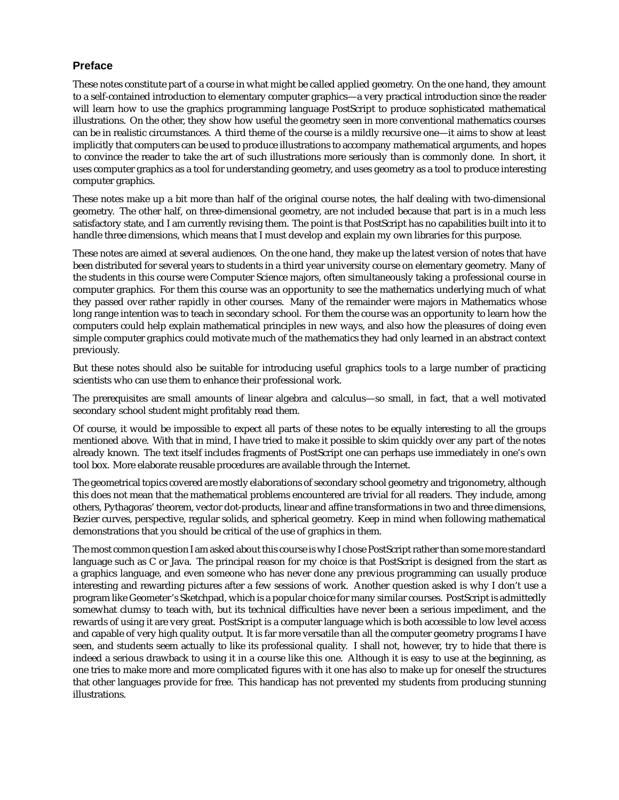## **Preface**

These notes constitute part of a course in what might be called applied geometry. On the one hand, they amount to a self-contained introduction to elementary computer graphics—a very practical introduction since the reader will learn how to use the graphics programming language PostScript to produce sophisticated mathematical illustrations. On the other, they show how useful the geometry seen in more conventional mathematics courses can be in realistic circumstances. A third theme of the course is a mildly recursive one—it aims to show at least implicitly that computers can be used to produce illustrations to accompany mathematical arguments, and hopes to convince the reader to take the art of such illustrations more seriously than is commonly done. In short, it uses computer graphics as a tool for understanding geometry, and uses geometry as a tool to produce interesting computer graphics.

These notes make up a bit more than half of the original course notes, the half dealing with two-dimensional geometry. The other half, on three-dimensional geometry, are not included because that part is in a much less satisfactory state, and I am currently revising them. The point is that PostScript has no capabilities built into it to handle three dimensions, which means that I must develop and explain my own libraries for this purpose.

These notes are aimed at several audiences. On the one hand, they make up the latest version of notes that have been distributed for several years to students in a third year university course on elementary geometry. Many of the students in this course were Computer Science majors, often simultaneously taking a professional course in computer graphics. For them this course was an opportunity to see the mathematics underlying much of what they passed over rather rapidly in other courses. Many of the remainder were majors in Mathematics whose long range intention was to teach in secondary school. For them the course was an opportunity to learn how the computers could help explain mathematical principles in new ways, and also how the pleasures of doing even simple computer graphics could motivate much of the mathematics they had only learned in an abstract context previously.

But these notes should also be suitable for introducing useful graphics tools to a large number of practicing scientists who can use them to enhance their professional work.

The prerequisites are small amounts of linear algebra and calculus—so small, in fact, that a well motivated secondary school student might profitably read them.

Of course, it would be impossible to expect all parts of these notes to be equally interesting to all the groups mentioned above. With that in mind, I have tried to make it possible to skim quickly over any part of the notes already known. The text itself includes fragments of PostScript one can perhaps use immediately in one's own tool box. More elaborate reusable procedures are available through the Internet.

The geometrical topics covered are mostly elaborations of secondary school geometry and trigonometry, although this does not mean that the mathematical problems encountered are trivial for all readers. They include, among others, Pythagoras' theorem, vector dot-products, linear and affine transformations in two and three dimensions, Bezier curves, perspective, regular solids, and spherical geometry. Keep in mind when following mathematical demonstrations that you should be critical of the use of graphics in them.

The most common question I am asked about this course is why I chose PostScript rather than some more standard language such as C or Java. The principal reason for my choice is that PostScript is designed from the start as a graphics language, and even someone who has never done any previous programming can usually produce interesting and rewarding pictures after a few sessions of work. Another question asked is why I don't use a program like Geometer's Sketchpad, which is a popular choice for many similar courses. PostScript is admittedly somewhat clumsy to teach with, but its technical difficulties have never been a serious impediment, and the rewards of using it are very great. PostScript is a computer language which is both accessible to low level access and capable of very high quality output. It is far more versatile than all the computer geometry programs I have seen, and students seem actually to like its professional quality. I shall not, however, try to hide that there is indeed a serious drawback to using it in a course like this one. Although it is easy to use at the beginning, as one tries to make more and more complicated figures with it one has also to make up for oneself the structures that other languages provide for free. This handicap has not prevented my students from producing stunning illustrations.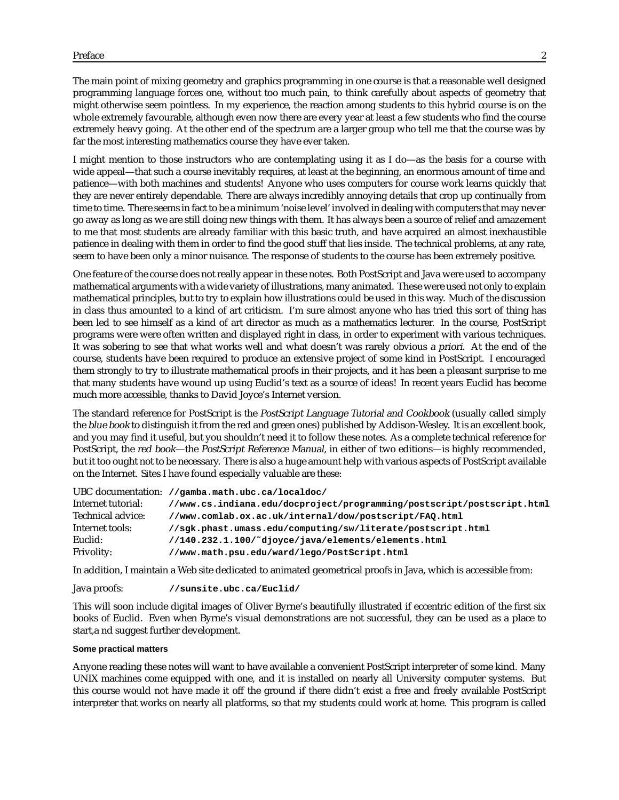The main point of mixing geometry and graphics programming in one course is that a reasonable well designed programming language forces one, without too much pain, to think carefully about aspects of geometry that might otherwise seem pointless. In my experience, the reaction among students to this hybrid course is on the whole extremely favourable, although even now there are every year at least a few students who find the course extremely heavy going. At the other end of the spectrum are a larger group who tell me that the course was by far the most interesting mathematics course they have ever taken.

I might mention to those instructors who are contemplating using it as I do—as the basis for a course with wide appeal—that such a course inevitably requires, at least at the beginning, an enormous amount of time and patience—with both machines and students! Anyone who uses computers for course work learns quickly that they are never entirely dependable. There are always incredibly annoying details that crop up continually from time to time. There seems in fact to be a minimum 'noise level' involved in dealing with computers that may never go away as long as we are still doing new things with them. It has always been a source of relief and amazement to me that most students are already familiar with this basic truth, and have acquired an almost inexhaustible patience in dealing with them in order to find the good stuff that lies inside. The technical problems, at any rate, seem to have been only a minor nuisance. The response of students to the course has been extremely positive.

One feature of the course does not really appear in these notes. Both PostScript and Java were used to accompany mathematical arguments with a wide variety of illustrations, many animated. These were used not only to explain mathematical principles, but to try to explain how illustrations could be used in this way. Much of the discussion in class thus amounted to a kind of art criticism. I'm sure almost anyone who has tried this sort of thing has been led to see himself as a kind of art director as much as a mathematics lecturer. In the course, PostScript programs were were often written and displayed right in class, in order to experiment with various techniques. It was sobering to see that what works well and what doesn't was rarely obvious <sup>a</sup> priori. At the end of the course, students have been required to produce an extensive project of some kind in PostScript. I encouraged them strongly to try to illustrate mathematical proofs in their projects, and it has been a pleasant surprise to me that many students have wound up using Euclid's text as a source of ideas! In recent years Euclid has become much more accessible, thanks to David Joyce's Internet version.

The standard reference for PostScript is the PostScript Language Tutorial and Cookbook (usually called simply the blue book to distinguish it from the red and green ones) published by Addison-Wesley. It is an excellent book, and you may find it useful, but you shouldn't need it to follow these notes. As a complete technical reference for PostScript, the red book—the PostScript Reference Manual, in either of two editions—is highly recommended, but it too ought not to be necessary. There is also a huge amount help with various aspects of PostScript available on the Internet. Sites I have found especially valuable are these:

|                    | UBC documentation: //gamba.math.ubc.ca/localdoc/                       |
|--------------------|------------------------------------------------------------------------|
| Internet tutorial: | //www.cs.indiana.edu/docproject/programming/postscript/postscript.html |
| Technical advice:  | //www.comlab.ox.ac.uk/internal/dow/postscript/FAQ.html                 |
| Internet tools:    | //sgk.phast.umass.edu/computing/sw/literate/postscript.html            |
| Euclid:            | //140.232.1.100/~djoyce/java/elements/elements.html                    |
| <b>Frivolity:</b>  | //www.math.psu.edu/ward/lego/PostScript.html                           |

In addition, I maintain a Web site dedicated to animated geometrical proofs in Java, which is accessible from:

Java proofs: **//sunsite.ubc.ca/Euclid/**

This will soon include digital images of Oliver Byrne's beautifully illustrated if eccentric edition of the first six books of Euclid. Even when Byrne's visual demonstrations are not successful, they can be used as a place to start,a nd suggest further development.

## **Some practical matters**

Anyone reading these notes will want to have available a convenient PostScript interpreter of some kind. Many UNIX machines come equipped with one, and it is installed on nearly all University computer systems. But this course would not have made it off the ground if there didn't exist a free and freely available PostScript interpreter that works on nearly all platforms, so that my students could work at home. This program is called